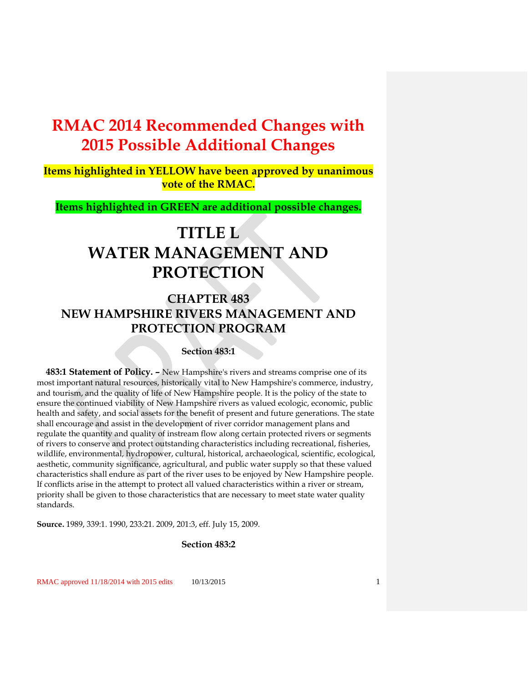# **RMAC 2014 Recommended Changes with 2015 Possible Additional Changes**

**Items highlighted in YELLOW have been approved by unanimous vote of the RMAC.**

**Items highlighted in GREEN are additional possible changes.**

## **TITLE L WATER MANAGEMENT AND PROTECTION**

## **CHAPTER 483 NEW HAMPSHIRE RIVERS MANAGEMENT AND PROTECTION PROGRAM**

## **Section 483:1**

 **483:1 Statement of Policy. –** New Hampshire's rivers and streams comprise one of its most important natural resources, historically vital to New Hampshire's commerce, industry, and tourism, and the quality of life of New Hampshire people. It is the policy of the state to ensure the continued viability of New Hampshire rivers as valued ecologic, economic, public health and safety, and social assets for the benefit of present and future generations. The state shall encourage and assist in the development of river corridor management plans and regulate the quantity and quality of instream flow along certain protected rivers or segments of rivers to conserve and protect outstanding characteristics including recreational, fisheries, wildlife, environmental, hydropower, cultural, historical, archaeological, scientific, ecological, aesthetic, community significance, agricultural, and public water supply so that these valued characteristics shall endure as part of the river uses to be enjoyed by New Hampshire people. If conflicts arise in the attempt to protect all valued characteristics within a river or stream, priority shall be given to those characteristics that are necessary to meet state water quality standards.

**Source.** 1989, 339:1. 1990, 233:21. 2009, 201:3, eff. July 15, 2009.

#### **Section 483:2**

RMAC approved 11/18/2014 with 2015 edits 10/13/2015 1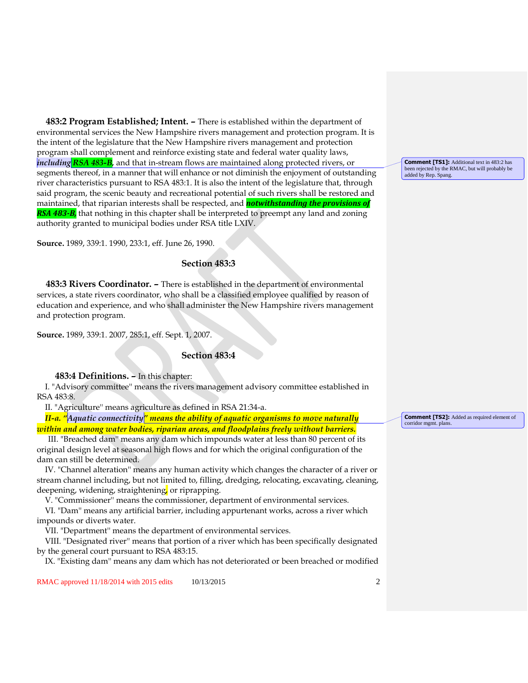**483:2 Program Established; Intent. –** There is established within the department of environmental services the New Hampshire rivers management and protection program. It is the intent of the legislature that the New Hampshire rivers management and protection program shall complement and reinforce existing state and federal water quality laws, *including RSA 483-B,* and that in-stream flows are maintained along protected rivers, or segments thereof, in a manner that will enhance or not diminish the enjoyment of outstanding river characteristics pursuant to RSA 483:1. It is also the intent of the legislature that, through said program, the scenic beauty and recreational potential of such rivers shall be restored and maintained, that riparian interests shall be respected, and *notwithstanding the provisions of RSA 483-B,* that nothing in this chapter shall be interpreted to preempt any land and zoning authority granted to municipal bodies under RSA title LXIV.

**Source.** 1989, 339:1. 1990, 233:1, eff. June 26, 1990.

#### **Section 483:3**

 **483:3 Rivers Coordinator. –** There is established in the department of environmental services, a state rivers coordinator, who shall be a classified employee qualified by reason of education and experience, and who shall administer the New Hampshire rivers management and protection program.

**Source.** 1989, 339:1. 2007, 285:1, eff. Sept. 1, 2007.

## **Section 483:4**

#### **483:4 Definitions. –** In this chapter:

 I. "Advisory committee'' means the rivers management advisory committee established in RSA 483:8.

II. "Agriculture'' means agriculture as defined in RSA 21:34-a.

 *II-a. "Aquatic connectivity" means the ability of aquatic organisms to move naturally within and among water bodies, riparian areas, and floodplains freely without barriers.*

III. "Breached dam'' means any dam which impounds water at less than 80 percent of its original design level at seasonal high flows and for which the original configuration of the dam can still be determined.

 IV. "Channel alteration'' means any human activity which changes the character of a river or stream channel including, but not limited to, filling, dredging, relocating, excavating, cleaning, deepening, widening, straightening*,* or riprapping.

V. "Commissioner'' means the commissioner, department of environmental services.

 VI. "Dam'' means any artificial barrier, including appurtenant works, across a river which impounds or diverts water.

VII. "Department'' means the department of environmental services.

 VIII. "Designated river'' means that portion of a river which has been specifically designated by the general court pursuant to RSA 483:15.

IX. "Existing dam'' means any dam which has not deteriorated or been breached or modified

**Comment [TS1]:** Additional text in 483:2 has been rejected by the RMAC, but will probably be added by Rep. Spang.

**Comment [TS2]:** Added as required element of corridor mgmt. plans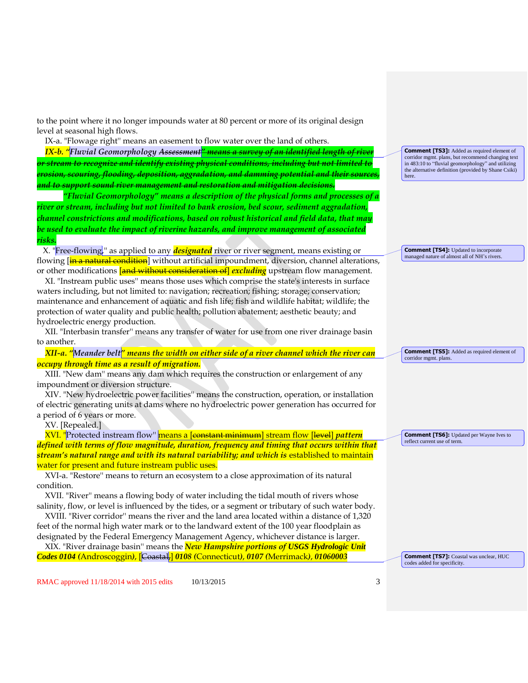to the point where it no longer impounds water at 80 percent or more of its original design level at seasonal high flows.

IX-a. "Flowage right'' means an easement to flow water over the land of others.

 *IX-b. "Fluvial Geomorphology Assessment" means a survey of an identified length of river or stream to recognize and identify existing physical conditions, including but not limited to erosion, scouring, flooding, deposition, aggradation, and damming potential and their sources, and to support sound river management and restoration and mitigation decisions.*

 *"Fluvial Geomorphology" means a description of the physical forms and processes of a river or stream, including but not limited to bank erosion, bed scour, sediment aggradation, channel constrictions and modifications, based on robust historical and field data, that may be used to evaluate the impact of riverine hazards, and improve management of associated risks.*

 X. "Free-flowing,'' as applied to any *designated* river or river segment, means existing or flowing [**in a natural condition**] without artificial impoundment, diversion, channel alterations, or other modifications [and without consideration of] *excluding* upstream flow management.

 XI. "Instream public uses'' means those uses which comprise the state's interests in surface waters including, but not limited to: navigation; recreation; fishing; storage; conservation; maintenance and enhancement of aquatic and fish life; fish and wildlife habitat; wildlife; the protection of water quality and public health; pollution abatement; aesthetic beauty; and hydroelectric energy production.

 XII. "Interbasin transfer'' means any transfer of water for use from one river drainage basin to another.

 *XII-a. "Meander belt" means the width on either side of a river channel which the river can occupy through time as a result of migration.*

 XIII. "New dam'' means any dam which requires the construction or enlargement of any impoundment or diversion structure.

 XIV. "New hydroelectric power facilities'' means the construction, operation, or installation of electric generating units at dams where no hydroelectric power generation has occurred for a period of 6 years or more.

XV. [Repealed.]

 XVI. "Protected instream flow'' means a [constant minimum] stream flow [level] *pattern defined with terms of flow magnitude, duration, frequency and timing that occurs within that stream's natural range and with its natural variability; and which is* established to maintain water for present and future instream public uses.

 XVI-a. "Restore'' means to return an ecosystem to a close approximation of its natural condition.

 XVII. "River'' means a flowing body of water including the tidal mouth of rivers whose salinity, flow, or level is influenced by the tides, or a segment or tributary of such water body.

 XVIII. "River corridor'' means the river and the land area located within a distance of 1,320 feet of the normal high water mark or to the landward extent of the 100 year floodplain as designated by the Federal Emergency Management Agency, whichever distance is larger.

 XIX. "River drainage basin'' means the *New Hampshire portions of USGS Hydrologic Unit Codes 0104 (*Androscoggin*)*, [Coastal,] *0108 (*Connecticut*)*, *0107 (*Merrimack*)*, *01060003* 

RMAC approved 11/18/2014 with 2015 edits 10/13/2015 3

**Comment [TS3]:** Added as required element of corridor mgmt. plans, but recommend changing text in 483:10 to "fluvial geomorphology" and utilizing the alternative definition (provided by Shane Csiki) here.

**Comment [TS4]:** Updated to incorporate managed nature of almost all of NH's rivers.

**Comment [TS5]:** Added as required element of corridor mgmt. plans.

**Comment [TS6]:** Updated per Wayne Ives to reflect current use of term.

**Comment [TS7]:** Coastal was unclear, HUC codes added for specificity.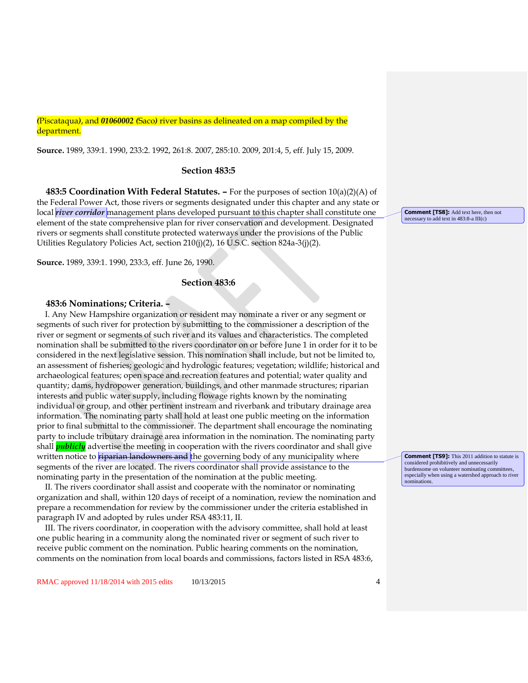*(*Piscataqua*)*, and *01060002 (*Saco*)* river basins as delineated on a map compiled by the department.

**Source.** 1989, 339:1. 1990, 233:2. 1992, 261:8. 2007, 285:10. 2009, 201:4, 5, eff. July 15, 2009.

### **Section 483:5**

 **483:5 Coordination With Federal Statutes. –** For the purposes of section 10(a)(2)(A) of the Federal Power Act, those rivers or segments designated under this chapter and any state or local *river corridor* management plans developed pursuant to this chapter shall constitute one element of the state comprehensive plan for river conservation and development. Designated rivers or segments shall constitute protected waterways under the provisions of the Public Utilities Regulatory Policies Act, section 210(j)(2), 16 U.S.C. section 824a-3(j)(2).

**Source.** 1989, 339:1. 1990, 233:3, eff. June 26, 1990.

### **Section 483:6**

#### **483:6 Nominations; Criteria. –**

 I. Any New Hampshire organization or resident may nominate a river or any segment or segments of such river for protection by submitting to the commissioner a description of the river or segment or segments of such river and its values and characteristics. The completed nomination shall be submitted to the rivers coordinator on or before June 1 in order for it to be considered in the next legislative session. This nomination shall include, but not be limited to, an assessment of fisheries; geologic and hydrologic features; vegetation; wildlife; historical and archaeological features; open space and recreation features and potential; water quality and quantity; dams, hydropower generation, buildings, and other manmade structures; riparian interests and public water supply, including flowage rights known by the nominating individual or group, and other pertinent instream and riverbank and tributary drainage area information. The nominating party shall hold at least one public meeting on the information prior to final submittal to the commissioner. The department shall encourage the nominating party to include tributary drainage area information in the nomination. The nominating party shall *publicly* advertise the meeting in cooperation with the rivers coordinator and shall give written notice to riparian landowners and the governing body of any municipality where segments of the river are located. The rivers coordinator shall provide assistance to the nominating party in the presentation of the nomination at the public meeting.

 II. The rivers coordinator shall assist and cooperate with the nominator or nominating organization and shall, within 120 days of receipt of a nomination, review the nomination and prepare a recommendation for review by the commissioner under the criteria established in paragraph IV and adopted by rules under RSA 483:11, II.

 III. The rivers coordinator, in cooperation with the advisory committee, shall hold at least one public hearing in a community along the nominated river or segment of such river to receive public comment on the nomination. Public hearing comments on the nomination, comments on the nomination from local boards and commissions, factors listed in RSA 483:6, **Comment [TS8]:** Add text here, then not necessary to add text in 483:8-a III(c)

**Comment [TS9]:** This 2011 addition to statute is considered prohibitively and unnecessarily burdensome on volunteer nominating committees, especially when using a watershed approach to river nominations.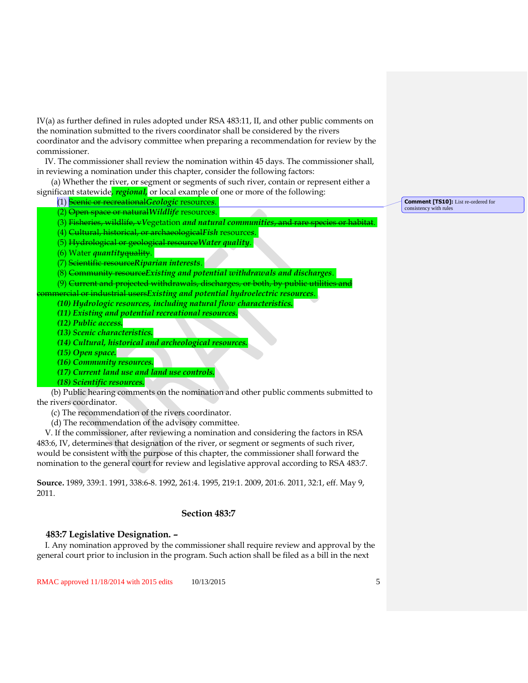IV(a) as further defined in rules adopted under RSA 483:11, II, and other public comments on the nomination submitted to the rivers coordinator shall be considered by the rivers coordinator and the advisory committee when preparing a recommendation for review by the commissioner.

 IV. The commissioner shall review the nomination within 45 days. The commissioner shall, in reviewing a nomination under this chapter, consider the following factors:

 (a) Whether the river, or segment or segments of such river, contain or represent either a significant statewide*, regional,* or local example of one or more of the following:

(1) Scenic or recreational*Geologic* resource*s*.

- (2) Open space or natural*Wildlife* resource*s*.
- (3) Fisheries, wildlife, v*V*egetation *and natural communities*, and rare species or habitat.
- (4) Cultural, historical, or archaeological*Fish* resource*s*.
- (5) Hydrological or geological resource*Water quality*.

(6) Water *quantity*quality.

(7) Scientific resource*Riparian interests*.

(8) Community resource*Existing and potential withdrawals and discharges*.

(9) Current and projected withdrawals, discharges, or both, by public utilities and

commercial or industrial users*Existing and potential hydroelectric resources*.

 *(10) Hydrologic resources, including natural flow characteristics.*

 *(11) Existing and potential recreational resources.*

 *(12) Public access.*

 *(13) Scenic characteristics.*

 *(14) Cultural, historical and archeological resources.*

 *(15) Open space.*

 *(16) Community resources.*

 *(17) Current land use and land use controls.*

 *(18) Scientific resources.*

 (b) Public hearing comments on the nomination and other public comments submitted to the rivers coordinator.

(c) The recommendation of the rivers coordinator.

(d) The recommendation of the advisory committee.

 V. If the commissioner, after reviewing a nomination and considering the factors in RSA 483:6, IV, determines that designation of the river, or segment or segments of such river, would be consistent with the purpose of this chapter, the commissioner shall forward the nomination to the general court for review and legislative approval according to RSA 483:7.

**Source.** 1989, 339:1. 1991, 338:6-8. 1992, 261:4. 1995, 219:1. 2009, 201:6. 2011, 32:1, eff. May 9, 2011.

## **Section 483:7**

#### **483:7 Legislative Designation. –**

 I. Any nomination approved by the commissioner shall require review and approval by the general court prior to inclusion in the program. Such action shall be filed as a bill in the next

**Comment [TS10]:** List re-ordered for consistency with rules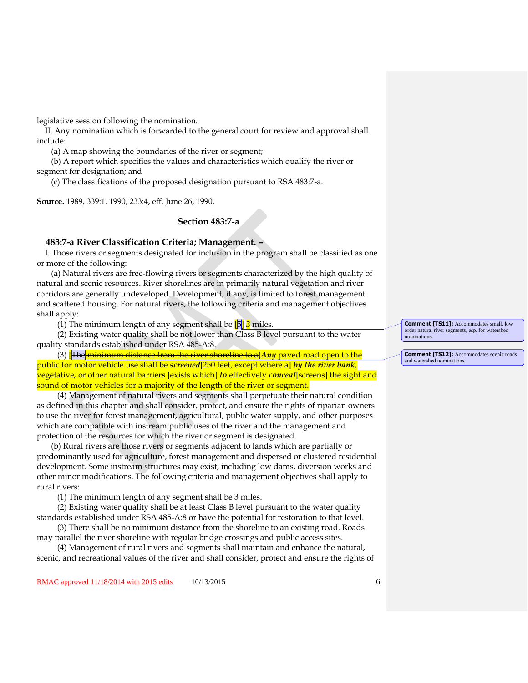legislative session following the nomination.

 II. Any nomination which is forwarded to the general court for review and approval shall include:

(a) A map showing the boundaries of the river or segment;

 (b) A report which specifies the values and characteristics which qualify the river or segment for designation; and

(c) The classifications of the proposed designation pursuant to RSA 483:7-a.

**Source.** 1989, 339:1. 1990, 233:4, eff. June 26, 1990.

#### **Section 483:7-a**

#### **483:7-a River Classification Criteria; Management. –**

 I. Those rivers or segments designated for inclusion in the program shall be classified as one or more of the following:

 (a) Natural rivers are free-flowing rivers or segments characterized by the high quality of natural and scenic resources. River shorelines are in primarily natural vegetation and river corridors are generally undeveloped. Development, if any, is limited to forest management and scattered housing. For natural rivers, the following criteria and management objectives shall apply:

(1) The minimum length of any segment shall be [5] *3* miles.

 (2) Existing water quality shall be not lower than Class B level pursuant to the water quality standards established under RSA 485-A:8.

 (3) [The minimum distance from the river shoreline to a]*Any* paved road open to the public for motor vehicle use shall be *screened*[250 feet, except where a] *by the river bank,* vegetative*,* or other natural barrier*s* [exists which] *to* effectively *conceal*[screens] the sight and sound of motor vehicles for a majority of the length of the river or segment.

 (4) Management of natural rivers and segments shall perpetuate their natural condition as defined in this chapter and shall consider, protect, and ensure the rights of riparian owners to use the river for forest management, agricultural, public water supply, and other purposes which are compatible with instream public uses of the river and the management and protection of the resources for which the river or segment is designated.

 (b) Rural rivers are those rivers or segments adjacent to lands which are partially or predominantly used for agriculture, forest management and dispersed or clustered residential development. Some instream structures may exist, including low dams, diversion works and other minor modifications. The following criteria and management objectives shall apply to rural rivers:

(1) The minimum length of any segment shall be 3 miles.

 (2) Existing water quality shall be at least Class B level pursuant to the water quality standards established under RSA 485-A:8 or have the potential for restoration to that level.

 (3) There shall be no minimum distance from the shoreline to an existing road. Roads may parallel the river shoreline with regular bridge crossings and public access sites.

 (4) Management of rural rivers and segments shall maintain and enhance the natural, scenic, and recreational values of the river and shall consider, protect and ensure the rights of **Comment [TS11]:** Accommodates small, low order natural river segments, esp. for watershed nominations.

**Comment [TS12]:** Accommodates scenic roads and watershed nominations.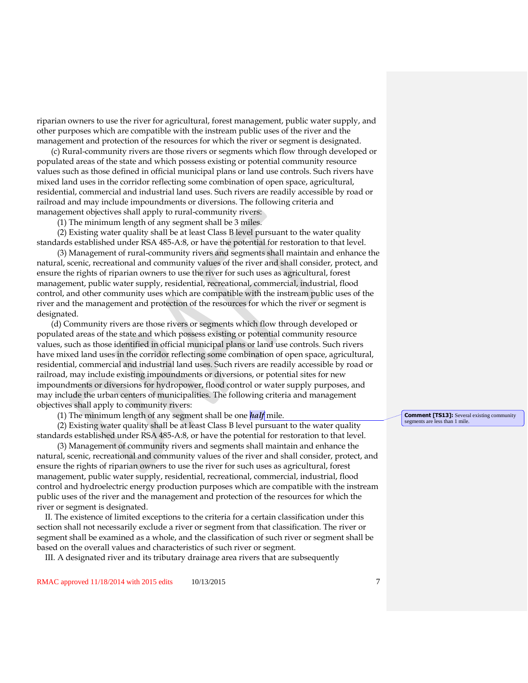riparian owners to use the river for agricultural, forest management, public water supply, and other purposes which are compatible with the instream public uses of the river and the management and protection of the resources for which the river or segment is designated.

 (c) Rural-community rivers are those rivers or segments which flow through developed or populated areas of the state and which possess existing or potential community resource values such as those defined in official municipal plans or land use controls. Such rivers have mixed land uses in the corridor reflecting some combination of open space, agricultural, residential, commercial and industrial land uses. Such rivers are readily accessible by road or railroad and may include impoundments or diversions. The following criteria and management objectives shall apply to rural-community rivers:

(1) The minimum length of any segment shall be 3 miles.

 (2) Existing water quality shall be at least Class B level pursuant to the water quality standards established under RSA 485-A:8, or have the potential for restoration to that level.

 (3) Management of rural-community rivers and segments shall maintain and enhance the natural, scenic, recreational and community values of the river and shall consider, protect, and ensure the rights of riparian owners to use the river for such uses as agricultural, forest management, public water supply, residential, recreational, commercial, industrial, flood control, and other community uses which are compatible with the instream public uses of the river and the management and protection of the resources for which the river or segment is designated.

 (d) Community rivers are those rivers or segments which flow through developed or populated areas of the state and which possess existing or potential community resource values, such as those identified in official municipal plans or land use controls. Such rivers have mixed land uses in the corridor reflecting some combination of open space, agricultural, residential, commercial and industrial land uses. Such rivers are readily accessible by road or railroad, may include existing impoundments or diversions, or potential sites for new impoundments or diversions for hydropower, flood control or water supply purposes, and may include the urban centers of municipalities. The following criteria and management objectives shall apply to community rivers:

(1) The minimum length of any segment shall be one *half* mile.

 (2) Existing water quality shall be at least Class B level pursuant to the water quality standards established under RSA 485-A:8, or have the potential for restoration to that level.

 (3) Management of community rivers and segments shall maintain and enhance the natural, scenic, recreational and community values of the river and shall consider, protect, and ensure the rights of riparian owners to use the river for such uses as agricultural, forest management, public water supply, residential, recreational, commercial, industrial, flood control and hydroelectric energy production purposes which are compatible with the instream public uses of the river and the management and protection of the resources for which the river or segment is designated.

 II. The existence of limited exceptions to the criteria for a certain classification under this section shall not necessarily exclude a river or segment from that classification. The river or segment shall be examined as a whole, and the classification of such river or segment shall be based on the overall values and characteristics of such river or segment.

III. A designated river and its tributary drainage area rivers that are subsequently

**Comment [TS13]:** Several existing community segments are less than 1 mile.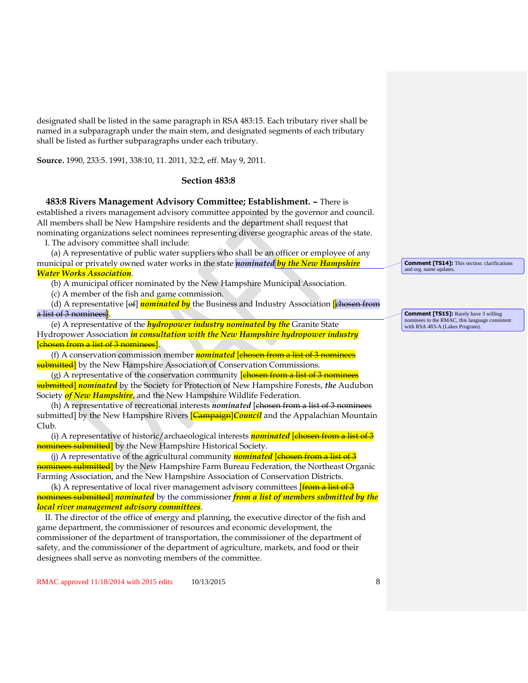designated shall be listed in the same paragraph in RSA 483:15. Each tributary river shall be named in a subparagraph under the main stem, and designated segments of each tributary shall be listed as further subparagraphs under each tributary.

**Source.** 1990, 233:5. 1991, 338:10, 11. 2011, 32:2, eff. May 9, 2011.

#### **Section 483:8**

 **483:8 Rivers Management Advisory Committee; Establishment. –** There is established a rivers management advisory committee appointed by the governor and council. All members shall be New Hampshire residents and the department shall request that nominating organizations select nominees representing diverse geographic areas of the state.

I. The advisory committee shall include:

 (a) A representative of public water suppliers who shall be an officer or employee of any municipal or privately owned water works in the state *nominated by the New Hampshire Water Works Association*.

(b) A municipal officer nominated by the New Hampshire Municipal Association.

(c) A member of the fish and game commission.

 (d) A representative [of] *nominated by* the Business and Industry Association [chosen from a list of 3 nominees<mark>]</mark>.

 (e) A representative of the *hydropower industry nominated by the* Granite State Hydropower Association *in consultation with the New Hampshire hydropower industry* [chosen from a list of 3 nominees].

(f) A conservation commission member *nominated* [chosen from a list of 3 nominees **submitted** by the New Hampshire Association of Conservation Commissions.

(g) A representative of the conservation community  $\overline{\mathbf{[chosen from a list of 3 noninees]}}$ submitted] *nominated* by the Society for Protection of New Hampshire Forests, *the* Audubon Society *of New Hampshire*, and the New Hampshire Wildlife Federation.

 (h) A representative of recreational interests *nominated* [chosen from a list of 3 nominees submitted] by the New Hampshire Rivers **[Campaign]***Council* and the Appalachian Mountain Club.

(i) A representative of historic/archaeological interests *nominated* [chosen from a list of 3] <del>nominees submitted</del>] by the New Hampshire Historical Society.

(i) A representative of the agricultural community *nominated* [ehosen from a list of 3] nominees submitted] by the New Hampshire Farm Bureau Federation, the Northeast Organic Farming Association, and the New Hampshire Association of Conservation Districts.

(k) A representative of local river management advisory committees  $\frac{f_{\text{from a list of } 3}}{f_{\text{from a list of } 3}}$ nominees submitted] *nominated* by the commissioner *from a list of members submitted by the local river management advisory committees*.

 II. The director of the office of energy and planning, the executive director of the fish and game department, the commissioner of resources and economic development, the commissioner of the department of transportation, the commissioner of the department of safety, and the commissioner of the department of agriculture, markets, and food or their designees shall serve as nonvoting members of the committee.

**Comment [TS14]:** This section: clarifications and org. name updates

**Comment [TS15]:** Rarely have 3 willing nominees to the RMAC, this language consistent with RSA 483-A (Lakes Program).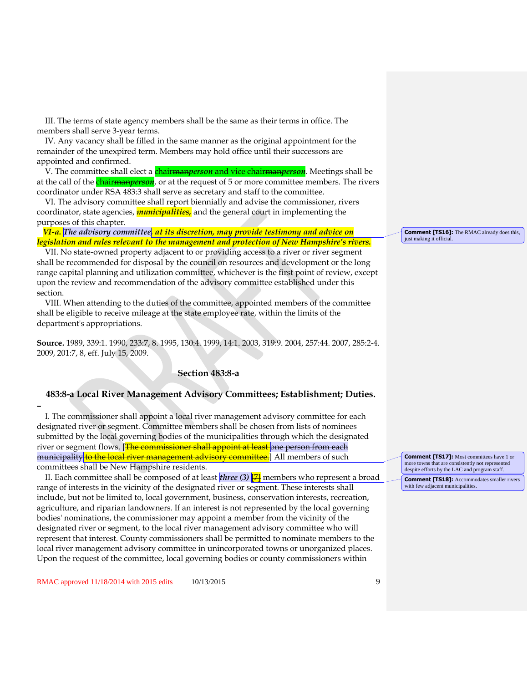III. The terms of state agency members shall be the same as their terms in office. The members shall serve 3-year terms.

 IV. Any vacancy shall be filled in the same manner as the original appointment for the remainder of the unexpired term. Members may hold office until their successors are appointed and confirmed.

 V. The committee shall elect a chairman*person* and vice chairman*person*. Meetings shall be at the call of the chairman*person*, or at the request of 5 or more committee members. The rivers coordinator under RSA 483:3 shall serve as secretary and staff to the committee.

 VI. The advisory committee shall report biennially and advise the commissioner, rivers coordinator, state agencies, *municipalities,* and the general court in implementing the purposes of this chapter.

 *VI-a. The advisory committee, at its discretion, may provide testimony and advice on legislation and rules relevant to the management and protection of New Hampshire's rivers.*

 VII. No state-owned property adjacent to or providing access to a river or river segment shall be recommended for disposal by the council on resources and development or the long range capital planning and utilization committee, whichever is the first point of review, except upon the review and recommendation of the advisory committee established under this section.

 VIII. When attending to the duties of the committee, appointed members of the committee shall be eligible to receive mileage at the state employee rate, within the limits of the department's appropriations.

**Source.** 1989, 339:1. 1990, 233:7, 8. 1995, 130:4. 1999, 14:1. 2003, 319:9. 2004, 257:44. 2007, 285:2-4. 2009, 201:7, 8, eff. July 15, 2009.

#### **Section 483:8-a**

## **483:8-a Local River Management Advisory Committees; Establishment; Duties.**

 I. The commissioner shall appoint a local river management advisory committee for each designated river or segment. Committee members shall be chosen from lists of nominees submitted by the local governing bodies of the municipalities through which the designated river or segment flows. [<del>The commissioner shall appoint at least one person from each</del> <del>municipality<mark> to the local river management advisory committee.</mark>] All members of such</del> committees shall be New Hampshire residents.

 II. Each committee shall be composed of at least *three (3)* [7] members who represent a broad range of interests in the vicinity of the designated river or segment. These interests shall include, but not be limited to, local government, business, conservation interests, recreation, agriculture, and riparian landowners. If an interest is not represented by the local governing bodies' nominations, the commissioner may appoint a member from the vicinity of the designated river or segment, to the local river management advisory committee who will represent that interest. County commissioners shall be permitted to nominate members to the local river management advisory committee in unincorporated towns or unorganized places. Upon the request of the committee, local governing bodies or county commissioners within

RMAC approved 11/18/2014 with 2015 edits 10/13/2015 9

**–**

**Comment [TS16]:** The RMAC already does this, just making it official.

**Comment [TS17]:** Most committees have 1 or more towns that are consistently not represented despite efforts by the LAC and program staff. **Comment [TS18]:** Accommodates smaller rivers

with few adjacent municipalities.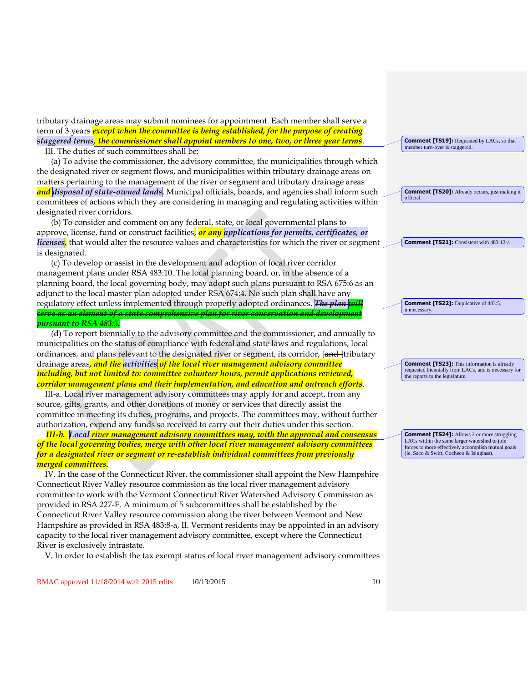tributary drainage areas may submit nominees for appointment. Each member shall serve a term of 3 years *except when the committee is being established, for the purpose of creating staggered terms, the commissioner shall appoint members to one, two, or three year terms*.

III. The duties of such committees shall be:

 (a) To advise the commissioner, the advisory committee, the municipalities through which the designated river or segment flows, and municipalities within tributary drainage areas on matters pertaining to the management of the river or segment and tributary drainage areas *and disposal of state-owned lands*. Municipal officials, boards, and agencies shall inform such committees of actions which they are considering in managing and regulating activities within designated river corridors.

 (b) To consider and comment on any federal, state, or local governmental plans to approve, license, fund or construct facilities, *or any applications for permits, certificates, or licenses*, that would alter the resource values and characteristics for which the river or segment is designated.

 (c) To develop or assist in the development and adoption of local river corridor management plans under RSA 483:10. The local planning board, or, in the absence of a planning board, the local governing body, may adopt such plans pursuant to RSA 675:6 as an adjunct to the local master plan adopted under RSA 674:4. No such plan shall have any regulatory effect unless implemented through properly adopted ordinances. *The plan will serve as an element of a state comprehensive plan for river conservation and development pursuant to RSA 483:5.*

 (d) To report biennially to the advisory committee and the commissioner, and annually to municipalities on the status of compliance with federal and state laws and regulations, local ordinances, and plans relevant to the designated river or segment, its corridor, [and ]tributary drainage areas*, and the activities of the local river management advisory committee including, but not limited to: committee volunteer hours, permit applications reviewed, corridor management plans and their implementation, and education and outreach efforts*.

 III-a. Local river management advisory committees may apply for and accept, from any source, gifts, grants, and other donations of money or services that directly assist the committee in meeting its duties, programs, and projects. The committees may, without further authorization, expend any funds so received to carry out their duties under this section.

*III-b. Local river management advisory committees may, with the approval and consensus of the local governing bodies, merge with other local river management advisory committees for a designated river or segment or re-establish individual committees from previously merged committees.* 

 IV. In the case of the Connecticut River, the commissioner shall appoint the New Hampshire Connecticut River Valley resource commission as the local river management advisory committee to work with the Vermont Connecticut River Watershed Advisory Commission as provided in RSA 227-E. A minimum of 5 subcommittees shall be established by the Connecticut River Valley resource commission along the river between Vermont and New Hampshire as provided in RSA 483:8-a, II. Vermont residents may be appointed in an advisory capacity to the local river management advisory committee, except where the Connecticut River is exclusively intrastate.

V. In order to establish the tax exempt status of local river management advisory committees

**Comment [TS19]:** Requested by LACs, so that member turn-over is staggered.

**Comment [TS20]:** Already occurs, just making it official.

**Comment [TS21]:** Consistent with 483:12-a

**Comment [TS22]:** Duplicative of 483:5, unnecessary.

**Comment [TS23]:** This information is already requested biennially from LACs, and is necessary for the reports to the legislature.

**Comment [TS24]:** Allows 2 or more struggling LACs within the same larger watershed to jo forces to more effectively accomplish mutual goals (ie. Saco & Swift, Cocheco & Isinglass).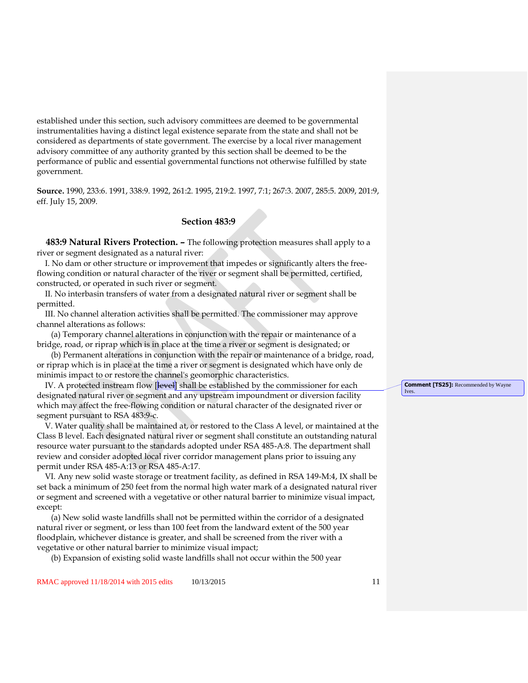established under this section, such advisory committees are deemed to be governmental instrumentalities having a distinct legal existence separate from the state and shall not be considered as departments of state government. The exercise by a local river management advisory committee of any authority granted by this section shall be deemed to be the performance of public and essential governmental functions not otherwise fulfilled by state government.

**Source.** 1990, 233:6. 1991, 338:9. 1992, 261:2. 1995, 219:2. 1997, 7:1; 267:3. 2007, 285:5. 2009, 201:9, eff. July 15, 2009.

## **Section 483:9**

 **483:9 Natural Rivers Protection. –** The following protection measures shall apply to a river or segment designated as a natural river:

 I. No dam or other structure or improvement that impedes or significantly alters the freeflowing condition or natural character of the river or segment shall be permitted, certified, constructed, or operated in such river or segment.

 II. No interbasin transfers of water from a designated natural river or segment shall be permitted.

 III. No channel alteration activities shall be permitted. The commissioner may approve channel alterations as follows:

 (a) Temporary channel alterations in conjunction with the repair or maintenance of a bridge, road, or riprap which is in place at the time a river or segment is designated; or

 (b) Permanent alterations in conjunction with the repair or maintenance of a bridge, road, or riprap which is in place at the time a river or segment is designated which have only de minimis impact to or restore the channel's geomorphic characteristics.

IV. A protected instream flow [level] shall be established by the commissioner for each designated natural river or segment and any upstream impoundment or diversion facility which may affect the free-flowing condition or natural character of the designated river or segment pursuant to RSA 483:9-c.

 V. Water quality shall be maintained at, or restored to the Class A level, or maintained at the Class B level. Each designated natural river or segment shall constitute an outstanding natural resource water pursuant to the standards adopted under RSA 485-A:8. The department shall review and consider adopted local river corridor management plans prior to issuing any permit under RSA 485-A:13 or RSA 485-A:17.

 VI. Any new solid waste storage or treatment facility, as defined in RSA 149-M:4, IX shall be set back a minimum of 250 feet from the normal high water mark of a designated natural river or segment and screened with a vegetative or other natural barrier to minimize visual impact, except:

 (a) New solid waste landfills shall not be permitted within the corridor of a designated natural river or segment, or less than 100 feet from the landward extent of the 500 year floodplain, whichever distance is greater, and shall be screened from the river with a vegetative or other natural barrier to minimize visual impact;

(b) Expansion of existing solid waste landfills shall not occur within the 500 year

**Comment [TS25]:** Recommended by Wayne Ives.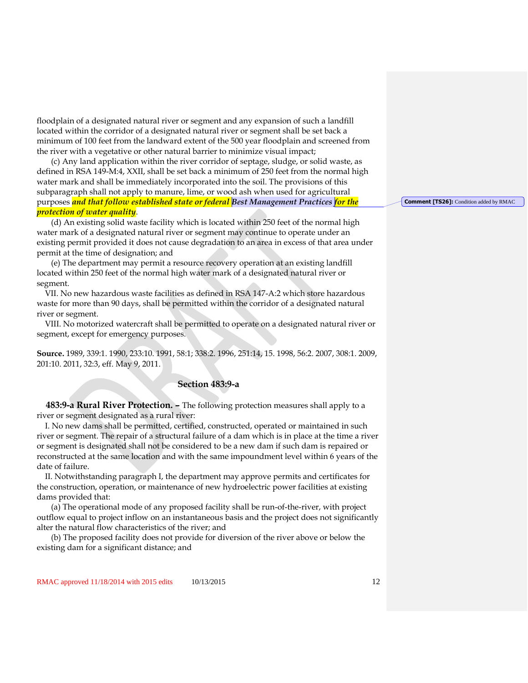floodplain of a designated natural river or segment and any expansion of such a landfill located within the corridor of a designated natural river or segment shall be set back a minimum of 100 feet from the landward extent of the 500 year floodplain and screened from the river with a vegetative or other natural barrier to minimize visual impact;

 (c) Any land application within the river corridor of septage, sludge, or solid waste, as defined in RSA 149-M:4, XXII, shall be set back a minimum of 250 feet from the normal high water mark and shall be immediately incorporated into the soil. The provisions of this subparagraph shall not apply to manure, lime, or wood ash when used for agricultural purposes *and that follow established state or federal Best Management Practices for the protection of water quality*.

 (d) An existing solid waste facility which is located within 250 feet of the normal high water mark of a designated natural river or segment may continue to operate under an existing permit provided it does not cause degradation to an area in excess of that area under permit at the time of designation; and

 (e) The department may permit a resource recovery operation at an existing landfill located within 250 feet of the normal high water mark of a designated natural river or segment.

 VII. No new hazardous waste facilities as defined in RSA 147-A:2 which store hazardous waste for more than 90 days, shall be permitted within the corridor of a designated natural river or segment.

 VIII. No motorized watercraft shall be permitted to operate on a designated natural river or segment, except for emergency purposes.

**Source.** 1989, 339:1. 1990, 233:10. 1991, 58:1; 338:2. 1996, 251:14, 15. 1998, 56:2. 2007, 308:1. 2009, 201:10. 2011, 32:3, eff. May 9, 2011.

## **Section 483:9-a**

 **483:9-a Rural River Protection. –** The following protection measures shall apply to a river or segment designated as a rural river:

 I. No new dams shall be permitted, certified, constructed, operated or maintained in such river or segment. The repair of a structural failure of a dam which is in place at the time a river or segment is designated shall not be considered to be a new dam if such dam is repaired or reconstructed at the same location and with the same impoundment level within 6 years of the date of failure.

 II. Notwithstanding paragraph I, the department may approve permits and certificates for the construction, operation, or maintenance of new hydroelectric power facilities at existing dams provided that:

 (a) The operational mode of any proposed facility shall be run-of-the-river, with project outflow equal to project inflow on an instantaneous basis and the project does not significantly alter the natural flow characteristics of the river; and

 (b) The proposed facility does not provide for diversion of the river above or below the existing dam for a significant distance; and

**Comment [TS26]:** Condition added by RMAC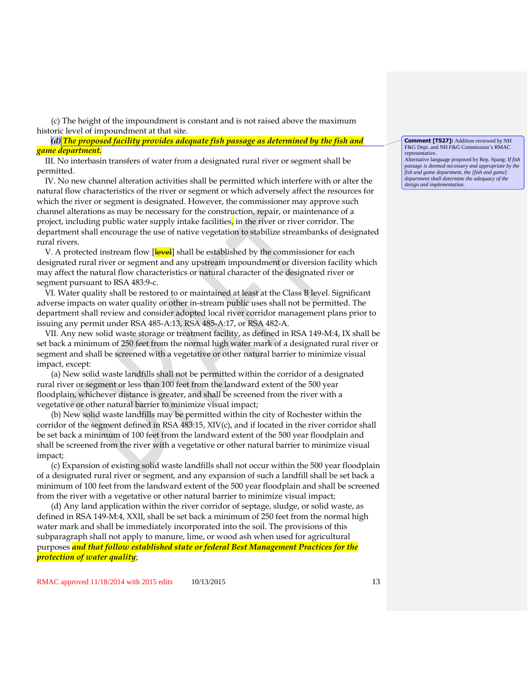(c) The height of the impoundment is constant and is not raised above the maximum historic level of impoundment at that site.

 *(d) The proposed facility provides adequate fish passage as determined by the fish and game department.*

 III. No interbasin transfers of water from a designated rural river or segment shall be permitted.

 IV. No new channel alteration activities shall be permitted which interfere with or alter the natural flow characteristics of the river or segment or which adversely affect the resources for which the river or segment is designated. However, the commissioner may approve such channel alterations as may be necessary for the construction, repair, or maintenance of a project, including public water supply intake facilities, in the river or river corridor. The department shall encourage the use of native vegetation to stabilize streambanks of designated rural rivers.

V. A protected instream flow [**level**] shall be established by the commissioner for each designated rural river or segment and any upstream impoundment or diversion facility which may affect the natural flow characteristics or natural character of the designated river or segment pursuant to RSA 483:9-c.

 VI. Water quality shall be restored to or maintained at least at the Class B level. Significant adverse impacts on water quality or other in-stream public uses shall not be permitted. The department shall review and consider adopted local river corridor management plans prior to issuing any permit under RSA 485-A:13, RSA 485-A:17, or RSA 482-A.

 VII. Any new solid waste storage or treatment facility, as defined in RSA 149-M:4, IX shall be set back a minimum of 250 feet from the normal high water mark of a designated rural river or segment and shall be screened with a vegetative or other natural barrier to minimize visual impact, except:

 (a) New solid waste landfills shall not be permitted within the corridor of a designated rural river or segment or less than 100 feet from the landward extent of the 500 year floodplain, whichever distance is greater, and shall be screened from the river with a vegetative or other natural barrier to minimize visual impact;

 (b) New solid waste landfills may be permitted within the city of Rochester within the corridor of the segment defined in RSA 483:15, XIV(c), and if located in the river corridor shall be set back a minimum of 100 feet from the landward extent of the 500 year floodplain and shall be screened from the river with a vegetative or other natural barrier to minimize visual impact;

 (c) Expansion of existing solid waste landfills shall not occur within the 500 year floodplain of a designated rural river or segment, and any expansion of such a landfill shall be set back a minimum of 100 feet from the landward extent of the 500 year floodplain and shall be screened from the river with a vegetative or other natural barrier to minimize visual impact;

 (d) Any land application within the river corridor of septage, sludge, or solid waste, as defined in RSA 149-M:4, XXII, shall be set back a minimum of 250 feet from the normal high water mark and shall be immediately incorporated into the soil. The provisions of this subparagraph shall not apply to manure, lime, or wood ash when used for agricultural purposes *and that follow established state or federal Best Management Practices for the protection of water quality*;

RMAC approved 11/18/2014 with 2015 edits 10/13/2015 13

**Comment [TS27]:** Addition reviewed by NH F&G Dept. and NH F&G Commission's RMAC representative. Alternative language proposed by Rep. Spang: *If fish passage is deemed necessary and appropriate by the fish and game department, the [fish and game] department shall determine the adequacy of the design and implementation.*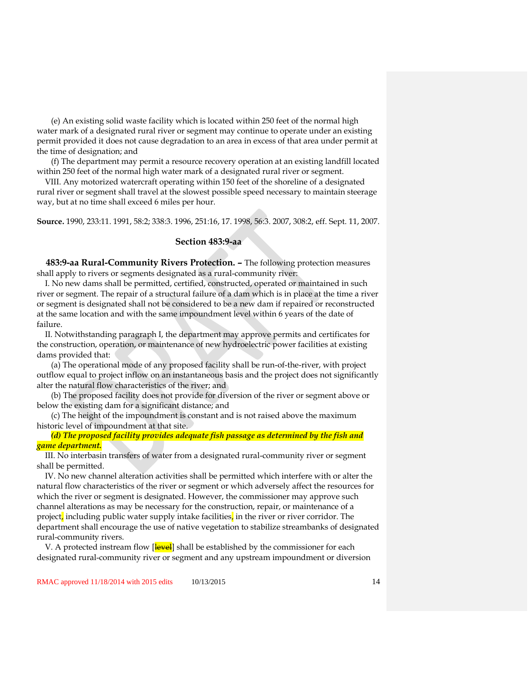(e) An existing solid waste facility which is located within 250 feet of the normal high water mark of a designated rural river or segment may continue to operate under an existing permit provided it does not cause degradation to an area in excess of that area under permit at the time of designation; and

 (f) The department may permit a resource recovery operation at an existing landfill located within 250 feet of the normal high water mark of a designated rural river or segment.

 VIII. Any motorized watercraft operating within 150 feet of the shoreline of a designated rural river or segment shall travel at the slowest possible speed necessary to maintain steerage way, but at no time shall exceed 6 miles per hour.

**Source.** 1990, 233:11. 1991, 58:2; 338:3. 1996, 251:16, 17. 1998, 56:3. 2007, 308:2, eff. Sept. 11, 2007.

## **Section 483:9-aa**

 **483:9-aa Rural-Community Rivers Protection. –** The following protection measures shall apply to rivers or segments designated as a rural-community river:

 I. No new dams shall be permitted, certified, constructed, operated or maintained in such river or segment. The repair of a structural failure of a dam which is in place at the time a river or segment is designated shall not be considered to be a new dam if repaired or reconstructed at the same location and with the same impoundment level within 6 years of the date of failure.

 II. Notwithstanding paragraph I, the department may approve permits and certificates for the construction, operation, or maintenance of new hydroelectric power facilities at existing dams provided that:

 (a) The operational mode of any proposed facility shall be run-of-the-river, with project outflow equal to project inflow on an instantaneous basis and the project does not significantly alter the natural flow characteristics of the river; and

 (b) The proposed facility does not provide for diversion of the river or segment above or below the existing dam for a significant distance; and

 (c) The height of the impoundment is constant and is not raised above the maximum historic level of impoundment at that site.

## *(d) The proposed facility provides adequate fish passage as determined by the fish and game department.*

 III. No interbasin transfers of water from a designated rural-community river or segment shall be permitted.

 IV. No new channel alteration activities shall be permitted which interfere with or alter the natural flow characteristics of the river or segment or which adversely affect the resources for which the river or segment is designated. However, the commissioner may approve such channel alterations as may be necessary for the construction, repair, or maintenance of a project, including public water supply intake facilities, in the river or river corridor. The department shall encourage the use of native vegetation to stabilize streambanks of designated rural-community rivers.

V. A protected instream flow [level] shall be established by the commissioner for each designated rural-community river or segment and any upstream impoundment or diversion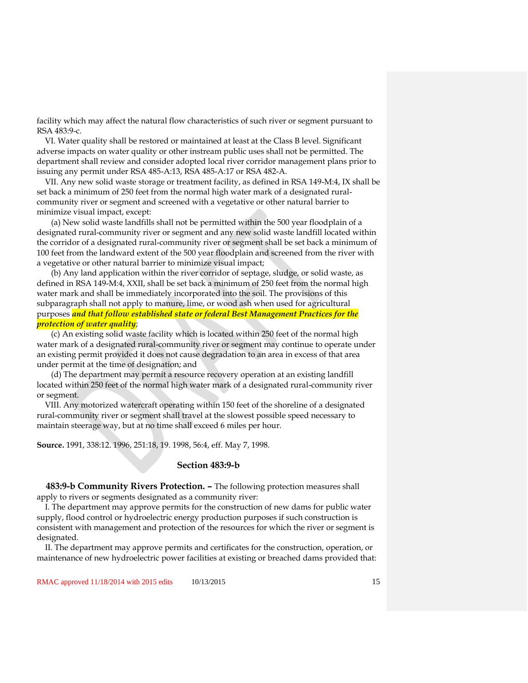facility which may affect the natural flow characteristics of such river or segment pursuant to RSA 483:9-c.

 VI. Water quality shall be restored or maintained at least at the Class B level. Significant adverse impacts on water quality or other instream public uses shall not be permitted. The department shall review and consider adopted local river corridor management plans prior to issuing any permit under RSA 485-A:13, RSA 485-A:17 or RSA 482-A.

 VII. Any new solid waste storage or treatment facility, as defined in RSA 149-M:4, IX shall be set back a minimum of 250 feet from the normal high water mark of a designated ruralcommunity river or segment and screened with a vegetative or other natural barrier to minimize visual impact, except:

 (a) New solid waste landfills shall not be permitted within the 500 year floodplain of a designated rural-community river or segment and any new solid waste landfill located within the corridor of a designated rural-community river or segment shall be set back a minimum of 100 feet from the landward extent of the 500 year floodplain and screened from the river with a vegetative or other natural barrier to minimize visual impact;

 (b) Any land application within the river corridor of septage, sludge, or solid waste, as defined in RSA 149-M:4, XXII, shall be set back a minimum of 250 feet from the normal high water mark and shall be immediately incorporated into the soil. The provisions of this subparagraph shall not apply to manure, lime, or wood ash when used for agricultural purposes *and that follow established state or federal Best Management Practices for the protection of water quality*;

 (c) An existing solid waste facility which is located within 250 feet of the normal high water mark of a designated rural-community river or segment may continue to operate under an existing permit provided it does not cause degradation to an area in excess of that area under permit at the time of designation; and

 (d) The department may permit a resource recovery operation at an existing landfill located within 250 feet of the normal high water mark of a designated rural-community river or segment.

 VIII. Any motorized watercraft operating within 150 feet of the shoreline of a designated rural-community river or segment shall travel at the slowest possible speed necessary to maintain steerage way, but at no time shall exceed 6 miles per hour.

**Source.** 1991, 338:12. 1996, 251:18, 19. 1998, 56:4, eff. May 7, 1998.

#### **Section 483:9-b**

 **483:9-b Community Rivers Protection. –** The following protection measures shall apply to rivers or segments designated as a community river:

 I. The department may approve permits for the construction of new dams for public water supply, flood control or hydroelectric energy production purposes if such construction is consistent with management and protection of the resources for which the river or segment is designated.

 II. The department may approve permits and certificates for the construction, operation, or maintenance of new hydroelectric power facilities at existing or breached dams provided that: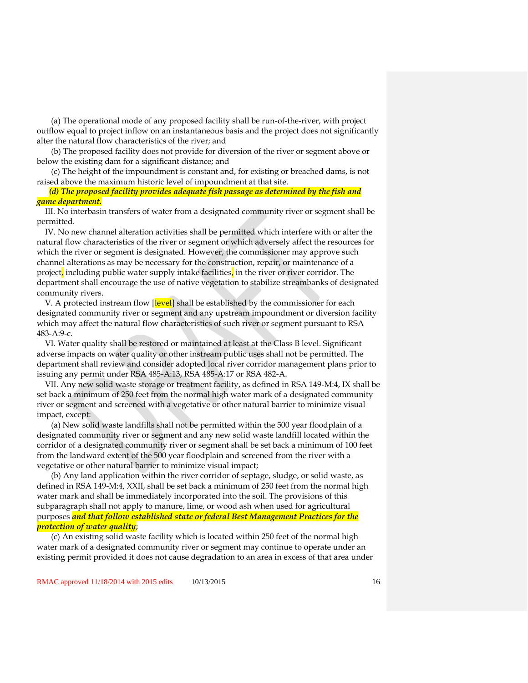(a) The operational mode of any proposed facility shall be run-of-the-river, with project outflow equal to project inflow on an instantaneous basis and the project does not significantly alter the natural flow characteristics of the river; and

 (b) The proposed facility does not provide for diversion of the river or segment above or below the existing dam for a significant distance; and

 (c) The height of the impoundment is constant and, for existing or breached dams, is not raised above the maximum historic level of impoundment at that site.

 *(d) The proposed facility provides adequate fish passage as determined by the fish and game department.*

 III. No interbasin transfers of water from a designated community river or segment shall be permitted.

 IV. No new channel alteration activities shall be permitted which interfere with or alter the natural flow characteristics of the river or segment or which adversely affect the resources for which the river or segment is designated. However, the commissioner may approve such channel alterations as may be necessary for the construction, repair, or maintenance of a project, including public water supply intake facilities, in the river or river corridor. The department shall encourage the use of native vegetation to stabilize streambanks of designated community rivers.

V. A protected instream flow [level] shall be established by the commissioner for each designated community river or segment and any upstream impoundment or diversion facility which may affect the natural flow characteristics of such river or segment pursuant to RSA 483-A:9-c.

 VI. Water quality shall be restored or maintained at least at the Class B level. Significant adverse impacts on water quality or other instream public uses shall not be permitted. The department shall review and consider adopted local river corridor management plans prior to issuing any permit under RSA 485-A:13, RSA 485-A:17 or RSA 482-A.

 VII. Any new solid waste storage or treatment facility, as defined in RSA 149-M:4, IX shall be set back a minimum of 250 feet from the normal high water mark of a designated community river or segment and screened with a vegetative or other natural barrier to minimize visual impact, except:

 (a) New solid waste landfills shall not be permitted within the 500 year floodplain of a designated community river or segment and any new solid waste landfill located within the corridor of a designated community river or segment shall be set back a minimum of 100 feet from the landward extent of the 500 year floodplain and screened from the river with a vegetative or other natural barrier to minimize visual impact;

 (b) Any land application within the river corridor of septage, sludge, or solid waste, as defined in RSA 149-M:4, XXII, shall be set back a minimum of 250 feet from the normal high water mark and shall be immediately incorporated into the soil. The provisions of this subparagraph shall not apply to manure, lime, or wood ash when used for agricultural purposes *and that follow established state or federal Best Management Practices for the protection of water quality*;

 (c) An existing solid waste facility which is located within 250 feet of the normal high water mark of a designated community river or segment may continue to operate under an existing permit provided it does not cause degradation to an area in excess of that area under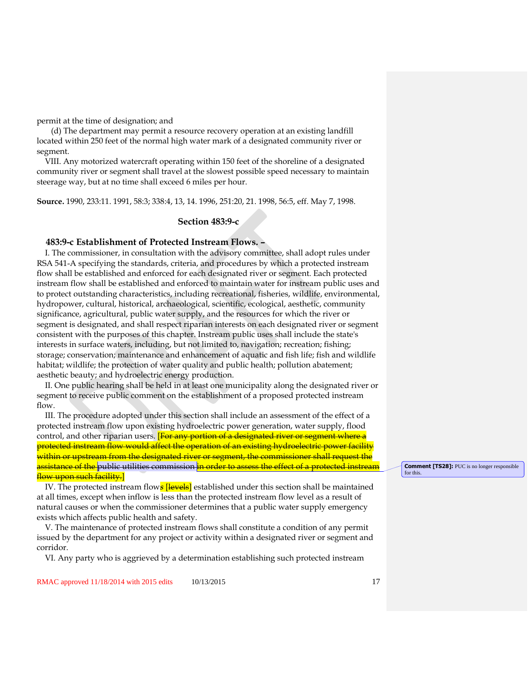permit at the time of designation; and

 (d) The department may permit a resource recovery operation at an existing landfill located within 250 feet of the normal high water mark of a designated community river or segment.

 VIII. Any motorized watercraft operating within 150 feet of the shoreline of a designated community river or segment shall travel at the slowest possible speed necessary to maintain steerage way, but at no time shall exceed 6 miles per hour.

**Source.** 1990, 233:11. 1991, 58:3; 338:4, 13, 14. 1996, 251:20, 21. 1998, 56:5, eff. May 7, 1998.

#### **Section 483:9-c**

#### **483:9-c Establishment of Protected Instream Flows. –**

 I. The commissioner, in consultation with the advisory committee, shall adopt rules under RSA 541-A specifying the standards, criteria, and procedures by which a protected instream flow shall be established and enforced for each designated river or segment. Each protected instream flow shall be established and enforced to maintain water for instream public uses and to protect outstanding characteristics, including recreational, fisheries, wildlife, environmental, hydropower, cultural, historical, archaeological, scientific, ecological, aesthetic, community significance, agricultural, public water supply, and the resources for which the river or segment is designated, and shall respect riparian interests on each designated river or segment consistent with the purposes of this chapter. Instream public uses shall include the state's interests in surface waters, including, but not limited to, navigation; recreation; fishing; storage; conservation; maintenance and enhancement of aquatic and fish life; fish and wildlife habitat; wildlife; the protection of water quality and public health; pollution abatement; aesthetic beauty; and hydroelectric energy production.

 II. One public hearing shall be held in at least one municipality along the designated river or segment to receive public comment on the establishment of a proposed protected instream flow.

 III. The procedure adopted under this section shall include an assessment of the effect of a protected instream flow upon existing hydroelectric power generation, water supply, flood control, and other riparian users. **[For any portion of a designated river or segment where a** protected instream flow would affect the operation of an existing hydroelectric power facility within or upstream from the designated river or segment, the commissioner shall request the assistance of the public utilities commission <mark>in order to assess the effect of a protected instream</mark> flow upon such facility.]

IV. The protected instream flows **[levels]** established under this section shall be maintained at all times, except when inflow is less than the protected instream flow level as a result of natural causes or when the commissioner determines that a public water supply emergency exists which affects public health and safety.

 V. The maintenance of protected instream flows shall constitute a condition of any permit issued by the department for any project or activity within a designated river or segment and corridor.

VI. Any party who is aggrieved by a determination establishing such protected instream

**Comment [TS28]:** PUC is no longer responsible for this.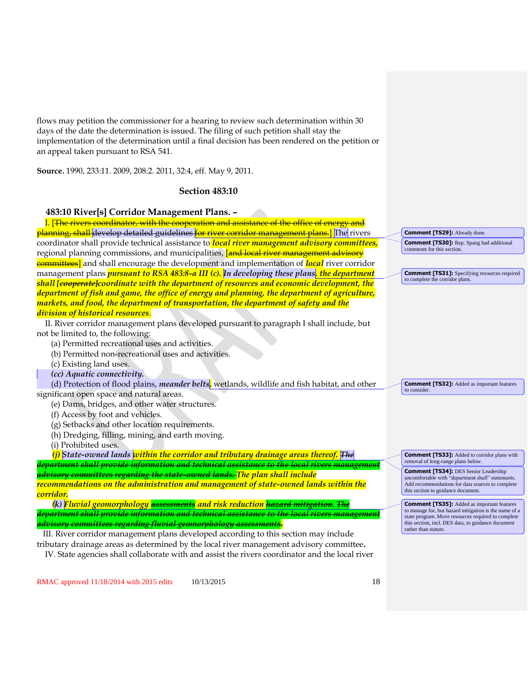flows may petition the commissioner for a hearing to review such determination within 30 days of the date the determination is issued. The filing of such petition shall stay the implementation of the determination until a final decision has been rendered on the petition or an appeal taken pursuant to RSA 541.

**Source.** 1990, 233:11. 2009, 208:2. 2011, 32:4, eff. May 9, 2011.

#### **Section 483:10**

#### **483:10 River[s] Corridor Management Plans. –**

I. [The rivers coordinator, with the cooperation and assistance of the office of energy and planning, shall develop detailed guidelines for river corridor management plans.] The rivers coordinator shall provide technical assistance to *local river management advisory committees,* regional planning commissions, and municipalities, **[and local river management advisory** committees] and shall encourage the development and implementation of *local* river corridor management plans *pursuant to RSA 483:8-a III (c). In developing these plans, the department shall [cooperate]coordinate with the department of resources and economic development, the department of fish and game, the office of energy and planning, the department of agriculture, markets, and food, the department of transportation, the department of safety and the division of historical resources*.

 II. River corridor management plans developed pursuant to paragraph I shall include, but not be limited to, the following:

- (a) Permitted recreational uses and activities.
- (b) Permitted non-recreational uses and activities.
- (c) Existing land uses.
- *(cc) Aquatic connectivity.*

 (d) Protection of flood plains, *meander belts,* wetlands, wildlife and fish habitat, and other significant open space and natural areas.

(e) Dams, bridges, and other water structures.

- (f) Access by foot and vehicles.
- (g) Setbacks and other location requirements.
- (h) Dredging, filling, mining, and earth moving.

(i) Prohibited uses.

*(j) State-owned lands within the corridor and tributary drainage areas thereof. The department shall provide information and technical assistance to the local rivers management advisory committees regarding the state-owned lands. The plan shall include recommendations on the administration and management of state-owned lands within the corridor.*

*(k) Fluvial geomorphology assessments and risk reduction hazard mitigation. The department shall provide information and technical assistance to the local rivers management advisory committees regarding fluvial geomorphology assessments.*

 III. River corridor management plans developed according to this section may include tributary drainage areas as determined by the local river management advisory committee**.**

IV. State agencies shall collaborate with and assist the rivers coordinator and the local river

RMAC approved  $11/18/2014$  with 2015 edits 10/13/2015 18

**Comment [TS29]:** Already done. **Comment [TS30]:** Rep. Spang had additional comments for this section.

**Comment [TS31]:** Specifying resources required to complete the corridor plans.

**Comment [TS32]:** Added as important features to consider.

**Comment [TS33]:** Added to corridor plans with removal of long-range plans below.

**Comment [TS34]:** DES Senior Leadership uncomfortable with "department shall" statements. Add recommendations for data sources to complete this section to guidance document.

**Comment [TS35]:** Added as important features to manage for, but hazard mitigation is the name of a state program. Move resources required to complete this section, incl. DES data, to guidance document rather than statute.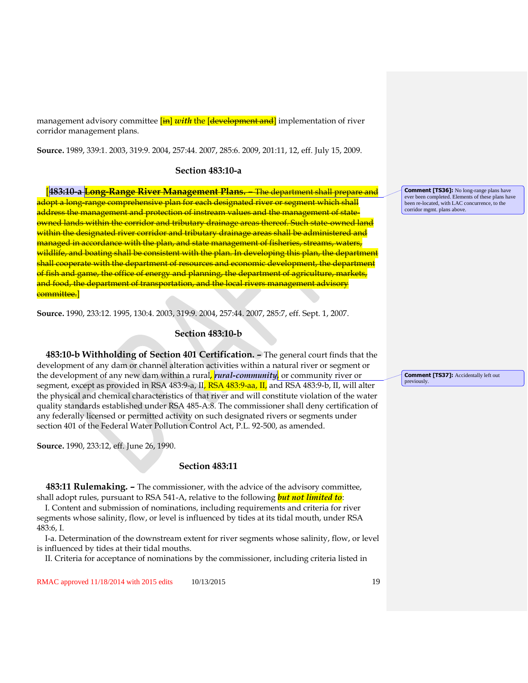management advisory committee  $\frac{1}{n}$  *with* the [development and] implementation of river corridor management plans.

**Source.** 1989, 339:1. 2003, 319:9. 2004, 257:44. 2007, 285:6. 2009, 201:11, 12, eff. July 15, 2009.

## **Section 483:10-a**

 [**483:10-a Long-Range River Management Plans. –** The department shall prepare and adopt a long-range comprehensive plan for each designated river or segment which shall address the management and protection of instream values and the management of stateowned lands within the corridor and tributary drainage areas thereof. Such state-owned land within the designated river corridor and tributary drainage areas shall be administered and managed in accordance with the plan, and state management of fisheries, streams, waters, wildlife, and boating shall be consistent with the plan. In developing this plan, the department shall cooperate with the department of resources and economic development, the department of fish and game, the office of energy and planning, the department of agriculture, markets, and food, the department of transportation, and the local rivers management advisory committee.]

**Source.** 1990, 233:12. 1995, 130:4. 2003, 319:9. 2004, 257:44. 2007, 285:7, eff. Sept. 1, 2007.

## **Section 483:10-b**

 **483:10-b Withholding of Section 401 Certification. –** The general court finds that the development of any dam or channel alteration activities within a natural river or segment or the development of any new dam within a rural*, rural-community,* or community river or segment, except as provided in RSA 483:9-a, II<mark>, RSA 483:9-aa, II,</mark> and RSA 483:9-b, II, will alter the physical and chemical characteristics of that river and will constitute violation of the water quality standards established under RSA 485-A:8. The commissioner shall deny certification of any federally licensed or permitted activity on such designated rivers or segments under section 401 of the Federal Water Pollution Control Act, P.L. 92-500, as amended.

**Source.** 1990, 233:12, eff. June 26, 1990.

## **Section 483:11**

 **483:11 Rulemaking. –** The commissioner, with the advice of the advisory committee, shall adopt rules, pursuant to RSA 541-A, relative to the following *but not limited to*:

 I. Content and submission of nominations, including requirements and criteria for river segments whose salinity, flow, or level is influenced by tides at its tidal mouth, under RSA 483:6, I.

 I-a. Determination of the downstream extent for river segments whose salinity, flow, or level is influenced by tides at their tidal mouths.

II. Criteria for acceptance of nominations by the commissioner, including criteria listed in

**Comment [TS36]:** No long-range plans have ever been completed. Elements of these plans have been re-located, with LAC concurrence, to the corridor mgmt. plans above.

**Comment [TS37]:** Accidentally left out previously.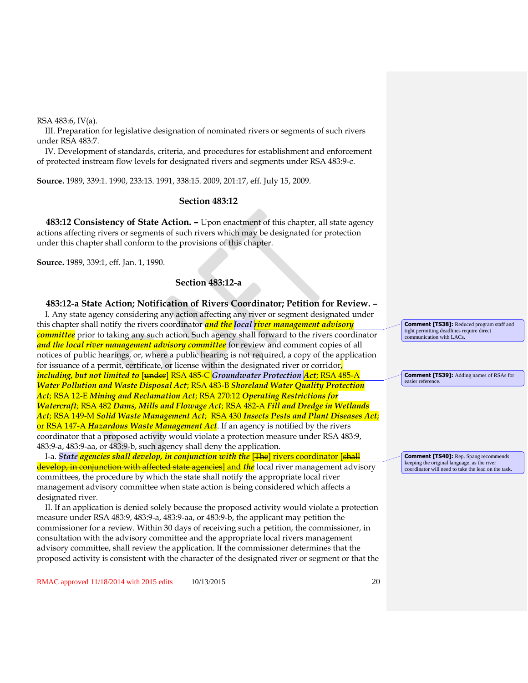RSA 483:6, IV(a).

 III. Preparation for legislative designation of nominated rivers or segments of such rivers under RSA 483:7.

 IV. Development of standards, criteria, and procedures for establishment and enforcement of protected instream flow levels for designated rivers and segments under RSA 483:9-c.

**Source.** 1989, 339:1. 1990, 233:13. 1991, 338:15. 2009, 201:17, eff. July 15, 2009.

### **Section 483:12**

**483:12 Consistency of State Action. –** Upon enactment of this chapter, all state agency actions affecting rivers or segments of such rivers which may be designated for protection under this chapter shall conform to the provisions of this chapter.

**Source.** 1989, 339:1, eff. Jan. 1, 1990.

## **Section 483:12-a**

#### **483:12-a State Action; Notification of Rivers Coordinator; Petition for Review. –**

 I. Any state agency considering any action affecting any river or segment designated under this chapter shall notify the rivers coordinator *and the local river management advisory committee* prior to taking any such action. Such agency shall forward to the rivers coordinator *and the local river management advisory committee* for review and comment copies of all notices of public hearings, or, where a public hearing is not required, a copy of the application for issuance of a permit, certificate, or license within the designated river or corridor*, including, but not limited to* [under] RSA 485-C *Groundwater Protection Act*; RSA 485-A *Water Pollution and Waste Disposal Act*; RSA 483-B *Shoreland Water Quality Protection Act*; RSA 12-E *Mining and Reclamation Act*; RSA 270:12 *Operating Restrictions for Watercraft*; RSA 482 *Dams, Mills and Flowage Act*; RSA 482-A *Fill and Dredge in Wetlands Act*; RSA 149-M *Solid Waste Management Act*; RSA 430 *Insects Pests and Plant Diseases Act*; or RSA 147-A *Hazardous Waste Management Act*. If an agency is notified by the rivers coordinator that a proposed activity would violate a protection measure under RSA 483:9, 483:9-a, 483:9-aa, or 483:9-b, such agency shall deny the application.

I-a. *State agencies shall develop, in conjunction with the* [The] rivers coordinator [shall] develop, in conjunction with affected state agencies] and *the* local river management advisory committees, the procedure by which the state shall notify the appropriate local river management advisory committee when state action is being considered which affects a designated river.

 II. If an application is denied solely because the proposed activity would violate a protection measure under RSA 483:9, 483:9-a, 483:9-aa, or 483:9-b, the applicant may petition the commissioner for a review. Within 30 days of receiving such a petition, the commissioner, in consultation with the advisory committee and the appropriate local rivers management advisory committee, shall review the application. If the commissioner determines that the proposed activity is consistent with the character of the designated river or segment or that the

RMAC approved 11/18/2014 with 2015 edits 10/13/2015 20

**Comment [TS38]:** Reduced program staff and tight permitting deadlines require direct communication with LACs.

**Comment [TS39]:** Adding names of RSAs for easier reference

**Comment [TS40]:** Rep. Spang recommends keeping the original language, as the river coordinator will need to take the lead on the task.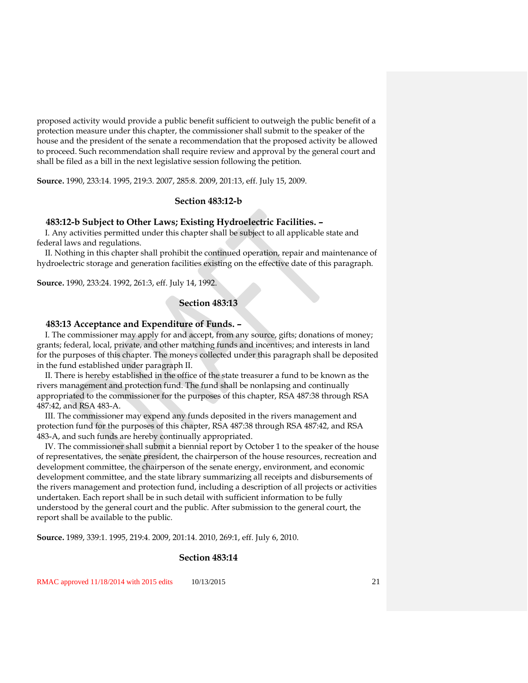proposed activity would provide a public benefit sufficient to outweigh the public benefit of a protection measure under this chapter, the commissioner shall submit to the speaker of the house and the president of the senate a recommendation that the proposed activity be allowed to proceed. Such recommendation shall require review and approval by the general court and shall be filed as a bill in the next legislative session following the petition.

**Source.** 1990, 233:14. 1995, 219:3. 2007, 285:8. 2009, 201:13, eff. July 15, 2009.

### **Section 483:12-b**

#### **483:12-b Subject to Other Laws; Existing Hydroelectric Facilities. –**

 I. Any activities permitted under this chapter shall be subject to all applicable state and federal laws and regulations.

 II. Nothing in this chapter shall prohibit the continued operation, repair and maintenance of hydroelectric storage and generation facilities existing on the effective date of this paragraph.

**Source.** 1990, 233:24. 1992, 261:3, eff. July 14, 1992.

## **Section 483:13**

#### **483:13 Acceptance and Expenditure of Funds. –**

 I. The commissioner may apply for and accept, from any source, gifts; donations of money; grants; federal, local, private, and other matching funds and incentives; and interests in land for the purposes of this chapter. The moneys collected under this paragraph shall be deposited in the fund established under paragraph II.

 II. There is hereby established in the office of the state treasurer a fund to be known as the rivers management and protection fund. The fund shall be nonlapsing and continually appropriated to the commissioner for the purposes of this chapter, RSA 487:38 through RSA 487:42, and RSA 483-A.

 III. The commissioner may expend any funds deposited in the rivers management and protection fund for the purposes of this chapter, RSA 487:38 through RSA 487:42, and RSA 483-A, and such funds are hereby continually appropriated.

 IV. The commissioner shall submit a biennial report by October 1 to the speaker of the house of representatives, the senate president, the chairperson of the house resources, recreation and development committee, the chairperson of the senate energy, environment, and economic development committee, and the state library summarizing all receipts and disbursements of the rivers management and protection fund, including a description of all projects or activities undertaken. Each report shall be in such detail with sufficient information to be fully understood by the general court and the public. After submission to the general court, the report shall be available to the public.

**Source.** 1989, 339:1. 1995, 219:4. 2009, 201:14. 2010, 269:1, eff. July 6, 2010.

#### **Section 483:14**

RMAC approved 11/18/2014 with 2015 edits 10/13/2015 21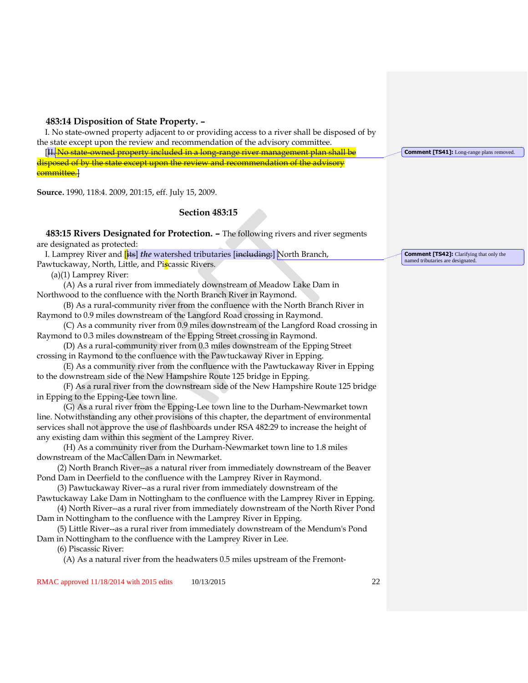#### **483:14 Disposition of State Property. –**

 I. No state-owned property adjacent to or providing access to a river shall be disposed of by the state except upon the review and recommendation of the advisory committee.

 [II. No state-owned property included in a long-range river management plan shall be disposed of by the state except upon the review and recommendation of the advisory committee.]

**Source.** 1990, 118:4. 2009, 201:15, eff. July 15, 2009.

## **Section 483:15**

 **483:15 Rivers Designated for Protection. –** The following rivers and river segments are designated as protected:

 I. Lamprey River and [its] *the* watershed tributaries [including:] North Branch, Pawtuckaway, North, Little, and Pi*s*cassic Rivers.

(a)(1) Lamprey River:

 (A) As a rural river from immediately downstream of Meadow Lake Dam in Northwood to the confluence with the North Branch River in Raymond.

 (B) As a rural-community river from the confluence with the North Branch River in Raymond to 0.9 miles downstream of the Langford Road crossing in Raymond.

 (C) As a community river from 0.9 miles downstream of the Langford Road crossing in Raymond to 0.3 miles downstream of the Epping Street crossing in Raymond.

 (D) As a rural-community river from 0.3 miles downstream of the Epping Street crossing in Raymond to the confluence with the Pawtuckaway River in Epping.

 (E) As a community river from the confluence with the Pawtuckaway River in Epping to the downstream side of the New Hampshire Route 125 bridge in Epping.

 (F) As a rural river from the downstream side of the New Hampshire Route 125 bridge in Epping to the Epping-Lee town line.

 (G) As a rural river from the Epping-Lee town line to the Durham-Newmarket town line. Notwithstanding any other provisions of this chapter, the department of environmental services shall not approve the use of flashboards under RSA 482:29 to increase the height of any existing dam within this segment of the Lamprey River.

 (H) As a community river from the Durham-Newmarket town line to 1.8 miles downstream of the MacCallen Dam in Newmarket.

 (2) North Branch River--as a natural river from immediately downstream of the Beaver Pond Dam in Deerfield to the confluence with the Lamprey River in Raymond.

 (3) Pawtuckaway River--as a rural river from immediately downstream of the Pawtuckaway Lake Dam in Nottingham to the confluence with the Lamprey River in Epping.

 (4) North River--as a rural river from immediately downstream of the North River Pond Dam in Nottingham to the confluence with the Lamprey River in Epping.

 (5) Little River--as a rural river from immediately downstream of the Mendum's Pond Dam in Nottingham to the confluence with the Lamprey River in Lee.

(6) Piscassic River:

(A) As a natural river from the headwaters 0.5 miles upstream of the Fremont-

**Comment [TS41]:** Long-range plans removed.

**Comment [TS42]:** Clarifying that only the named tributaries are designated.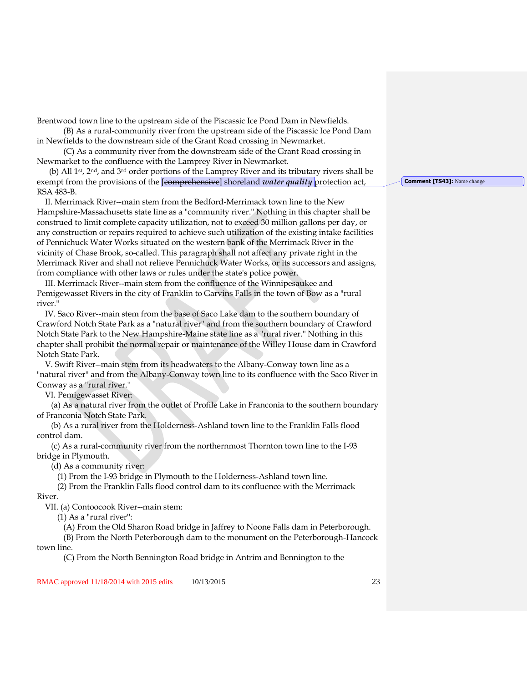Brentwood town line to the upstream side of the Piscassic Ice Pond Dam in Newfields.

 (B) As a rural-community river from the upstream side of the Piscassic Ice Pond Dam in Newfields to the downstream side of the Grant Road crossing in Newmarket.

 (C) As a community river from the downstream side of the Grant Road crossing in Newmarket to the confluence with the Lamprey River in Newmarket.

 (b) All 1st, 2nd, and 3rd order portions of the Lamprey River and its tributary rivers shall be exempt from the provisions of the **[comprehensive]** shoreland *water quality* protection act, RSA 483-B.

 II. Merrimack River--main stem from the Bedford-Merrimack town line to the New Hampshire-Massachusetts state line as a "community river.'' Nothing in this chapter shall be construed to limit complete capacity utilization, not to exceed 30 million gallons per day, or any construction or repairs required to achieve such utilization of the existing intake facilities of Pennichuck Water Works situated on the western bank of the Merrimack River in the vicinity of Chase Brook, so-called. This paragraph shall not affect any private right in the Merrimack River and shall not relieve Pennichuck Water Works, or its successors and assigns, from compliance with other laws or rules under the state's police power.

 III. Merrimack River--main stem from the confluence of the Winnipesaukee and Pemigewasset Rivers in the city of Franklin to Garvins Falls in the town of Bow as a "rural river.''

 IV. Saco River--main stem from the base of Saco Lake dam to the southern boundary of Crawford Notch State Park as a "natural river'' and from the southern boundary of Crawford Notch State Park to the New Hampshire-Maine state line as a "rural river.'' Nothing in this chapter shall prohibit the normal repair or maintenance of the Willey House dam in Crawford Notch State Park.

 V. Swift River--main stem from its headwaters to the Albany-Conway town line as a "natural river'' and from the Albany-Conway town line to its confluence with the Saco River in Conway as a "rural river.''

VI. Pemigewasset River:

 (a) As a natural river from the outlet of Profile Lake in Franconia to the southern boundary of Franconia Notch State Park.

 (b) As a rural river from the Holderness-Ashland town line to the Franklin Falls flood control dam.

 (c) As a rural-community river from the northernmost Thornton town line to the I-93 bridge in Plymouth.

(d) As a community river:

(1) From the I-93 bridge in Plymouth to the Holderness-Ashland town line.

 (2) From the Franklin Falls flood control dam to its confluence with the Merrimack River.

VII. (a) Contoocook River--main stem:

(1) As a "rural river'':

(A) From the Old Sharon Road bridge in Jaffrey to Noone Falls dam in Peterborough.

 (B) From the North Peterborough dam to the monument on the Peterborough-Hancock town line.

(C) From the North Bennington Road bridge in Antrim and Bennington to the

**Comment [TS43]:** Name change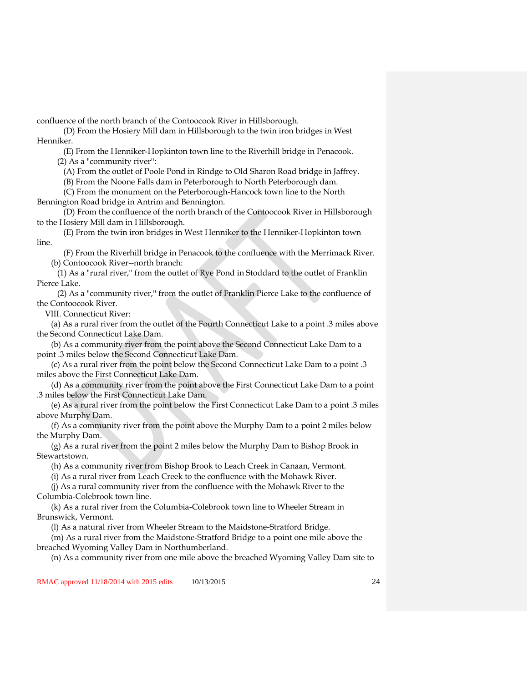confluence of the north branch of the Contoocook River in Hillsborough.

 (D) From the Hosiery Mill dam in Hillsborough to the twin iron bridges in West Henniker.

(E) From the Henniker-Hopkinton town line to the Riverhill bridge in Penacook.

(2) As a "community river'':

(A) From the outlet of Poole Pond in Rindge to Old Sharon Road bridge in Jaffrey.

(B) From the Noone Falls dam in Peterborough to North Peterborough dam.

 (C) From the monument on the Peterborough-Hancock town line to the North Bennington Road bridge in Antrim and Bennington.

 (D) From the confluence of the north branch of the Contoocook River in Hillsborough to the Hosiery Mill dam in Hillsborough.

 (E) From the twin iron bridges in West Henniker to the Henniker-Hopkinton town line.

 (F) From the Riverhill bridge in Penacook to the confluence with the Merrimack River. (b) Contoocook River--north branch:

 (1) As a "rural river,'' from the outlet of Rye Pond in Stoddard to the outlet of Franklin Pierce Lake.

 (2) As a "community river,'' from the outlet of Franklin Pierce Lake to the confluence of the Contoocook River.

VIII. Connecticut River:

 (a) As a rural river from the outlet of the Fourth Connecticut Lake to a point .3 miles above the Second Connecticut Lake Dam.

 (b) As a community river from the point above the Second Connecticut Lake Dam to a point .3 miles below the Second Connecticut Lake Dam.

 (c) As a rural river from the point below the Second Connecticut Lake Dam to a point .3 miles above the First Connecticut Lake Dam.

 (d) As a community river from the point above the First Connecticut Lake Dam to a point .3 miles below the First Connecticut Lake Dam.

 (e) As a rural river from the point below the First Connecticut Lake Dam to a point .3 miles above Murphy Dam.

 (f) As a community river from the point above the Murphy Dam to a point 2 miles below the Murphy Dam.

 (g) As a rural river from the point 2 miles below the Murphy Dam to Bishop Brook in Stewartstown.

(h) As a community river from Bishop Brook to Leach Creek in Canaan, Vermont.

(i) As a rural river from Leach Creek to the confluence with the Mohawk River.

 (j) As a rural community river from the confluence with the Mohawk River to the Columbia-Colebrook town line.

 (k) As a rural river from the Columbia-Colebrook town line to Wheeler Stream in Brunswick, Vermont.

(l) As a natural river from Wheeler Stream to the Maidstone-Stratford Bridge.

 (m) As a rural river from the Maidstone-Stratford Bridge to a point one mile above the breached Wyoming Valley Dam in Northumberland.

(n) As a community river from one mile above the breached Wyoming Valley Dam site to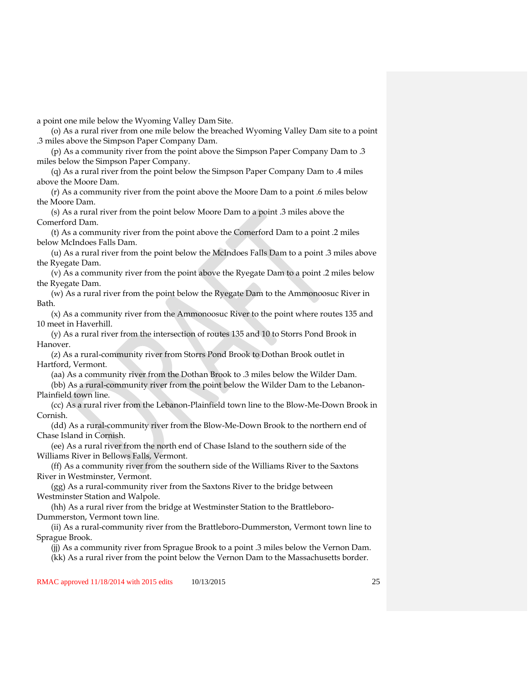a point one mile below the Wyoming Valley Dam Site.

 (o) As a rural river from one mile below the breached Wyoming Valley Dam site to a point .3 miles above the Simpson Paper Company Dam.

 (p) As a community river from the point above the Simpson Paper Company Dam to .3 miles below the Simpson Paper Company.

 (q) As a rural river from the point below the Simpson Paper Company Dam to .4 miles above the Moore Dam.

 (r) As a community river from the point above the Moore Dam to a point .6 miles below the Moore Dam.

 (s) As a rural river from the point below Moore Dam to a point .3 miles above the Comerford Dam.

 (t) As a community river from the point above the Comerford Dam to a point .2 miles below McIndoes Falls Dam.

 (u) As a rural river from the point below the McIndoes Falls Dam to a point .3 miles above the Ryegate Dam.

 (v) As a community river from the point above the Ryegate Dam to a point .2 miles below the Ryegate Dam.

 (w) As a rural river from the point below the Ryegate Dam to the Ammonoosuc River in Bath.

 (x) As a community river from the Ammonoosuc River to the point where routes 135 and 10 meet in Haverhill.

 (y) As a rural river from the intersection of routes 135 and 10 to Storrs Pond Brook in Hanover.

 (z) As a rural-community river from Storrs Pond Brook to Dothan Brook outlet in Hartford, Vermont.

 (aa) As a community river from the Dothan Brook to .3 miles below the Wilder Dam. (bb) As a rural-community river from the point below the Wilder Dam to the Lebanon-Plainfield town line.

 (cc) As a rural river from the Lebanon-Plainfield town line to the Blow-Me-Down Brook in Cornish.

 (dd) As a rural-community river from the Blow-Me-Down Brook to the northern end of Chase Island in Cornish.

 (ee) As a rural river from the north end of Chase Island to the southern side of the Williams River in Bellows Falls, Vermont.

 (ff) As a community river from the southern side of the Williams River to the Saxtons River in Westminster, Vermont.

 (gg) As a rural-community river from the Saxtons River to the bridge between Westminster Station and Walpole.

 (hh) As a rural river from the bridge at Westminster Station to the Brattleboro-Dummerston, Vermont town line.

 (ii) As a rural-community river from the Brattleboro-Dummerston, Vermont town line to Sprague Brook.

(jj) As a community river from Sprague Brook to a point .3 miles below the Vernon Dam.

(kk) As a rural river from the point below the Vernon Dam to the Massachusetts border.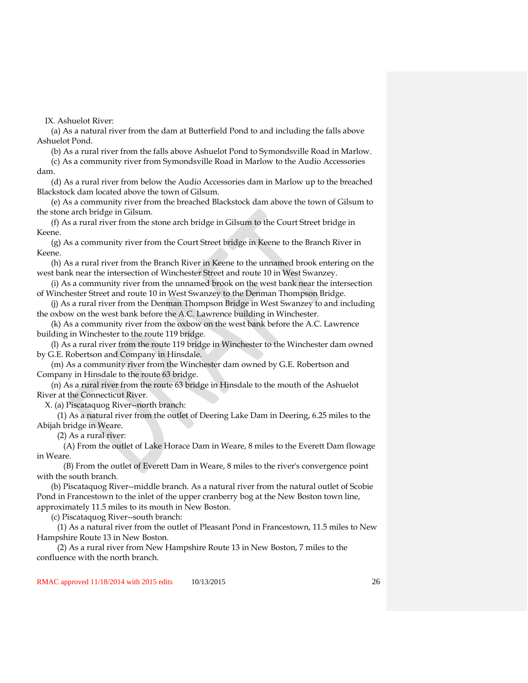IX. Ashuelot River:

 (a) As a natural river from the dam at Butterfield Pond to and including the falls above Ashuelot Pond.

(b) As a rural river from the falls above Ashuelot Pond to Symondsville Road in Marlow.

 (c) As a community river from Symondsville Road in Marlow to the Audio Accessories dam.

 (d) As a rural river from below the Audio Accessories dam in Marlow up to the breached Blackstock dam located above the town of Gilsum.

 (e) As a community river from the breached Blackstock dam above the town of Gilsum to the stone arch bridge in Gilsum.

 (f) As a rural river from the stone arch bridge in Gilsum to the Court Street bridge in Keene.

 (g) As a community river from the Court Street bridge in Keene to the Branch River in Keene.

 (h) As a rural river from the Branch River in Keene to the unnamed brook entering on the west bank near the intersection of Winchester Street and route 10 in West Swanzey.

 (i) As a community river from the unnamed brook on the west bank near the intersection of Winchester Street and route 10 in West Swanzey to the Denman Thompson Bridge.

 (j) As a rural river from the Denman Thompson Bridge in West Swanzey to and including the oxbow on the west bank before the A.C. Lawrence building in Winchester.

 (k) As a community river from the oxbow on the west bank before the A.C. Lawrence building in Winchester to the route 119 bridge.

 (l) As a rural river from the route 119 bridge in Winchester to the Winchester dam owned by G.E. Robertson and Company in Hinsdale.

 (m) As a community river from the Winchester dam owned by G.E. Robertson and Company in Hinsdale to the route 63 bridge.

 (n) As a rural river from the route 63 bridge in Hinsdale to the mouth of the Ashuelot River at the Connecticut River.

X. (a) Piscataquog River--north branch:

 (1) As a natural river from the outlet of Deering Lake Dam in Deering, 6.25 miles to the Abijah bridge in Weare.

(2) As a rural river:

 (A) From the outlet of Lake Horace Dam in Weare, 8 miles to the Everett Dam flowage in Weare.

 (B) From the outlet of Everett Dam in Weare, 8 miles to the river's convergence point with the south branch.

 (b) Piscataquog River--middle branch. As a natural river from the natural outlet of Scobie Pond in Francestown to the inlet of the upper cranberry bog at the New Boston town line, approximately 11.5 miles to its mouth in New Boston.

(c) Piscataquog River--south branch:

 (1) As a natural river from the outlet of Pleasant Pond in Francestown, 11.5 miles to New Hampshire Route 13 in New Boston.

 (2) As a rural river from New Hampshire Route 13 in New Boston, 7 miles to the confluence with the north branch.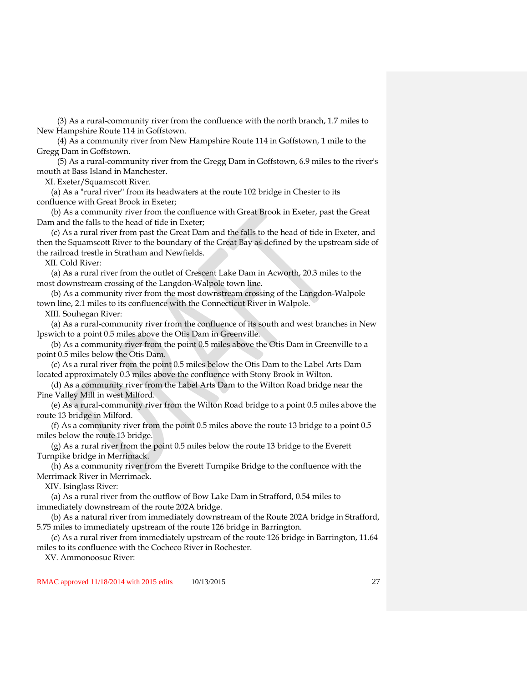(3) As a rural-community river from the confluence with the north branch, 1.7 miles to New Hampshire Route 114 in Goffstown.

 (4) As a community river from New Hampshire Route 114 in Goffstown, 1 mile to the Gregg Dam in Goffstown.

 (5) As a rural-community river from the Gregg Dam in Goffstown, 6.9 miles to the river's mouth at Bass Island in Manchester.

XI. Exeter/Squamscott River.

 (a) As a "rural river'' from its headwaters at the route 102 bridge in Chester to its confluence with Great Brook in Exeter;

 (b) As a community river from the confluence with Great Brook in Exeter, past the Great Dam and the falls to the head of tide in Exeter;

 (c) As a rural river from past the Great Dam and the falls to the head of tide in Exeter, and then the Squamscott River to the boundary of the Great Bay as defined by the upstream side of the railroad trestle in Stratham and Newfields.

XII. Cold River:

 (a) As a rural river from the outlet of Crescent Lake Dam in Acworth, 20.3 miles to the most downstream crossing of the Langdon-Walpole town line.

 (b) As a community river from the most downstream crossing of the Langdon-Walpole town line, 2.1 miles to its confluence with the Connecticut River in Walpole.

XIII. Souhegan River:

 (a) As a rural-community river from the confluence of its south and west branches in New Ipswich to a point 0.5 miles above the Otis Dam in Greenville.

 (b) As a community river from the point 0.5 miles above the Otis Dam in Greenville to a point 0.5 miles below the Otis Dam.

 (c) As a rural river from the point 0.5 miles below the Otis Dam to the Label Arts Dam located approximately 0.3 miles above the confluence with Stony Brook in Wilton.

 (d) As a community river from the Label Arts Dam to the Wilton Road bridge near the Pine Valley Mill in west Milford.

 (e) As a rural-community river from the Wilton Road bridge to a point 0.5 miles above the route 13 bridge in Milford.

 (f) As a community river from the point 0.5 miles above the route 13 bridge to a point 0.5 miles below the route 13 bridge.

 (g) As a rural river from the point 0.5 miles below the route 13 bridge to the Everett Turnpike bridge in Merrimack.

 (h) As a community river from the Everett Turnpike Bridge to the confluence with the Merrimack River in Merrimack.

XIV. Isinglass River:

 (a) As a rural river from the outflow of Bow Lake Dam in Strafford, 0.54 miles to immediately downstream of the route 202A bridge.

 (b) As a natural river from immediately downstream of the Route 202A bridge in Strafford, 5.75 miles to immediately upstream of the route 126 bridge in Barrington.

 (c) As a rural river from immediately upstream of the route 126 bridge in Barrington, 11.64 miles to its confluence with the Cocheco River in Rochester.

XV. Ammonoosuc River: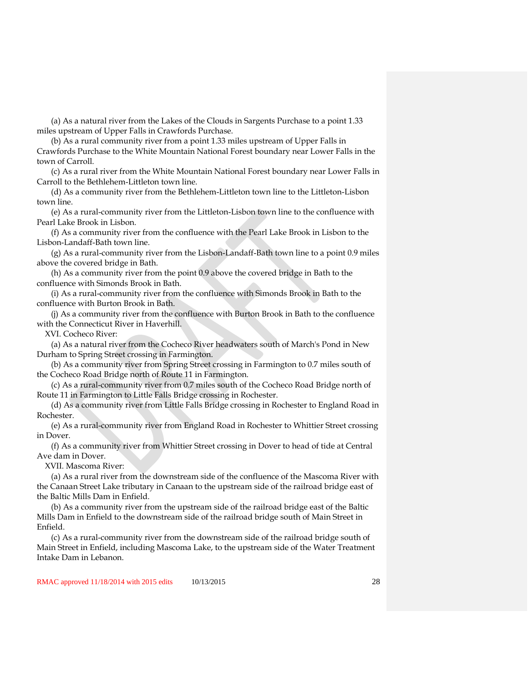(a) As a natural river from the Lakes of the Clouds in Sargents Purchase to a point 1.33 miles upstream of Upper Falls in Crawfords Purchase.

 (b) As a rural community river from a point 1.33 miles upstream of Upper Falls in Crawfords Purchase to the White Mountain National Forest boundary near Lower Falls in the town of Carroll.

 (c) As a rural river from the White Mountain National Forest boundary near Lower Falls in Carroll to the Bethlehem-Littleton town line.

 (d) As a community river from the Bethlehem-Littleton town line to the Littleton-Lisbon town line.

 (e) As a rural-community river from the Littleton-Lisbon town line to the confluence with Pearl Lake Brook in Lisbon.

 (f) As a community river from the confluence with the Pearl Lake Brook in Lisbon to the Lisbon-Landaff-Bath town line.

 (g) As a rural-community river from the Lisbon-Landaff-Bath town line to a point 0.9 miles above the covered bridge in Bath.

 (h) As a community river from the point 0.9 above the covered bridge in Bath to the confluence with Simonds Brook in Bath.

 (i) As a rural-community river from the confluence with Simonds Brook in Bath to the confluence with Burton Brook in Bath.

 (j) As a community river from the confluence with Burton Brook in Bath to the confluence with the Connecticut River in Haverhill.

XVI. Cocheco River:

 (a) As a natural river from the Cocheco River headwaters south of March's Pond in New Durham to Spring Street crossing in Farmington.

 (b) As a community river from Spring Street crossing in Farmington to 0.7 miles south of the Cocheco Road Bridge north of Route 11 in Farmington.

 (c) As a rural-community river from 0.7 miles south of the Cocheco Road Bridge north of Route 11 in Farmington to Little Falls Bridge crossing in Rochester.

 (d) As a community river from Little Falls Bridge crossing in Rochester to England Road in Rochester.

 (e) As a rural-community river from England Road in Rochester to Whittier Street crossing in Dover.

 (f) As a community river from Whittier Street crossing in Dover to head of tide at Central Ave dam in Dover.

XVII. Mascoma River:

 (a) As a rural river from the downstream side of the confluence of the Mascoma River with the Canaan Street Lake tributary in Canaan to the upstream side of the railroad bridge east of the Baltic Mills Dam in Enfield.

 (b) As a community river from the upstream side of the railroad bridge east of the Baltic Mills Dam in Enfield to the downstream side of the railroad bridge south of Main Street in Enfield.

 (c) As a rural-community river from the downstream side of the railroad bridge south of Main Street in Enfield, including Mascoma Lake, to the upstream side of the Water Treatment Intake Dam in Lebanon.